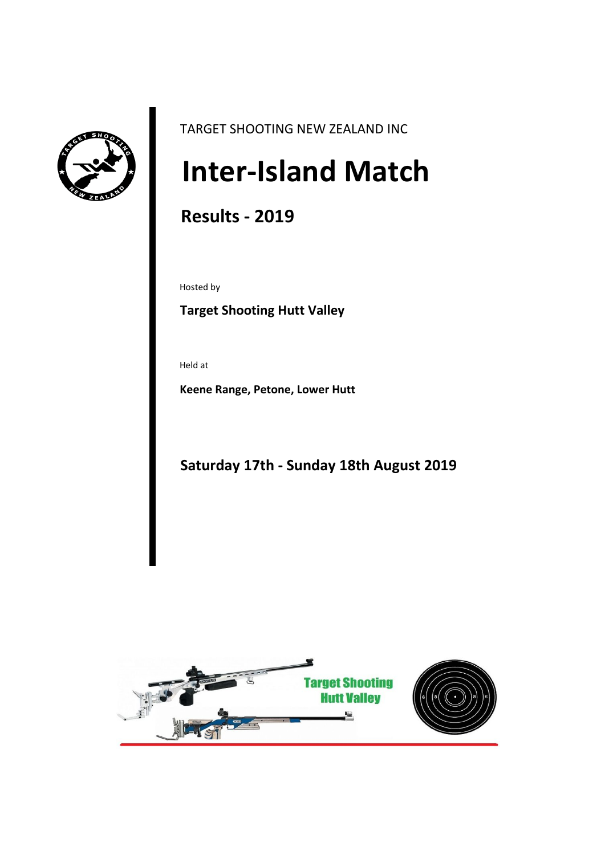

TARGET SHOOTING NEW ZEALAND INC

# **Inter-Island Match**

# **Results - 2019**

Hosted by

# **Target Shooting Hutt Valley**

Held at

**Keene Range, Petone, Lower Hutt**

**Saturday 17th - Sunday 18th August 2019**

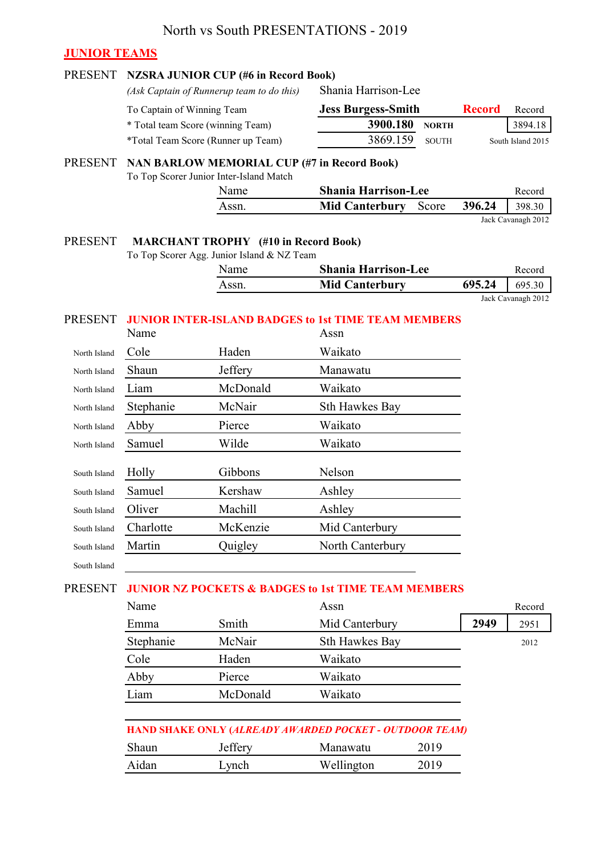#### **JUNIOR TEAMS**

#### PRESENT **NZSRA JUNIOR CUP (#6 in Record Book)** *(Ask Captain of Runnerup team to do this)* To Captain of Winning Team **Record** Record \* Total team Score (winning Team) **3900.180 NORTH** 3894.18 \*Total Team Score (Runner up Team) 3869.159 SOUTH PRESENT **NAN BARLOW MEMORIAL CUP (#7 in Record Book)** To Top Scorer Junior Inter-Island Match Name **Shania Harrison-Lee** Record Assn. **Mid Canterbury** Score **396.24** 398.30 PRESENT **MARCHANT TROPHY (#10 in Record Book)** To Top Scorer Agg. Junior Island & NZ Team Name **Shania Harrison-Lee** Record Assn. **Mid Canterbury** 695.24 695.30 PRESENT **JUNIOR INTER-ISLAND BADGES to 1st TIME TEAM MEMBERS** Assn North Island Cole Haden Waikato North Island Shaun Jeffery Manawatu North Island Liam McDonald Waikato North Island Stephanie McNair Sth Hawkes Bay North Island Abby Pierce Waikato North Island Samuel Wilde Waikato South Island Holly Gibbons Nelson South Island Samuel Kershaw Ashley South Island Oliver Machill Ashley South Island Charlotte McKenzie Mid Canterbury South Island Martin **Quigley** North Canterbury South Island PRESENT **JUNIOR NZ POCKETS & BADGES to 1st TIME TEAM MEMBERS** Assn Record Emma Smith Mid Canterbury **2949** 2951 Stephanie McNair Sth Hawkes Bay 2012 Cole Haden Waikato Abby Pierce Waikato Liam McDonald Waikato Jack Cavanagh 2012 Name Name Shania Harrison-Lee **Jess Burgess-Smith** South Island 2015 Jack Cavanagh 2012

# **HAND SHAKE ONLY (***ALREADY AWARDED POCKET - OUTDOOR TEAM)* Shaun Jeffery Manawatu 2019 Aidan Lynch Wellington 2019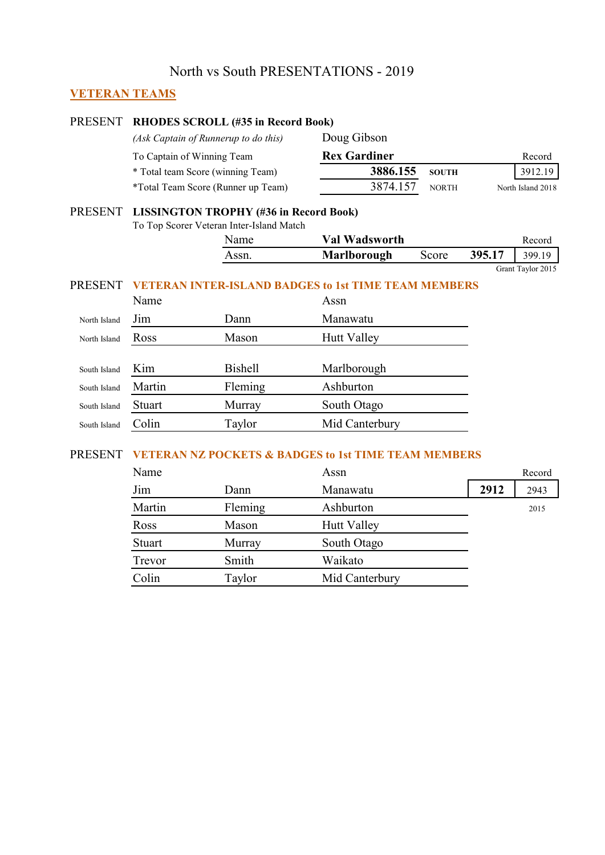#### **VETERAN TEAMS**

#### PRESENT **RHODES SCROLL (#35 in Record Book)** *(Ask Captain of Runnerup to do this)* Doug Gibson To Captain of Winning Team **Rex Gardiner** Record \* Total team Score (winning Team) **3886.155 SOUTH** 3912.19 \*Total Team Score (Runner up Team) 3874.157 NORTH North Island 2018

#### PRESENT **LISSINGTON TROPHY (#36 in Record Book)**

To Top Scorer Veteran Inter-Island Match

| Name  | Val Wadsworth      |       |        | Record |
|-------|--------------------|-------|--------|--------|
| Assn. | <b>Marlborough</b> | Score | 395.17 | 399.19 |

Grant Taylor 2015

#### PRESENT **VETERAN INTER-ISLAND BADGES to 1st TIME TEAM MEMBERS**

|              | Name   |                | Assn               |
|--------------|--------|----------------|--------------------|
| North Island | Jim    | Dann           | Manawatu           |
| North Island | Ross   | Mason          | <b>Hutt Valley</b> |
|              |        |                |                    |
| South Island | Kim    | <b>Bishell</b> | Marlborough        |
| South Island | Martin | Fleming        | Ashburton          |
| South Island | Stuart | Murray         | South Otago        |
| South Island | Colin  | Taylor         | Mid Canterbury     |
|              |        |                |                    |

#### PRESENT **VETERAN NZ POCKETS & BADGES to 1st TIME TEAM MEMBERS**

| Name   |         | Assn               |      | Record |
|--------|---------|--------------------|------|--------|
| Jim    | Dann    | Manawatu           | 2912 | 2943   |
| Martin | Fleming | Ashburton          |      | 2015   |
| Ross   | Mason   | <b>Hutt Valley</b> |      |        |
| Stuart | Murray  | South Otago        |      |        |
| Trevor | Smith   | Waikato            |      |        |
| Colin  | Taylor  | Mid Canterbury     |      |        |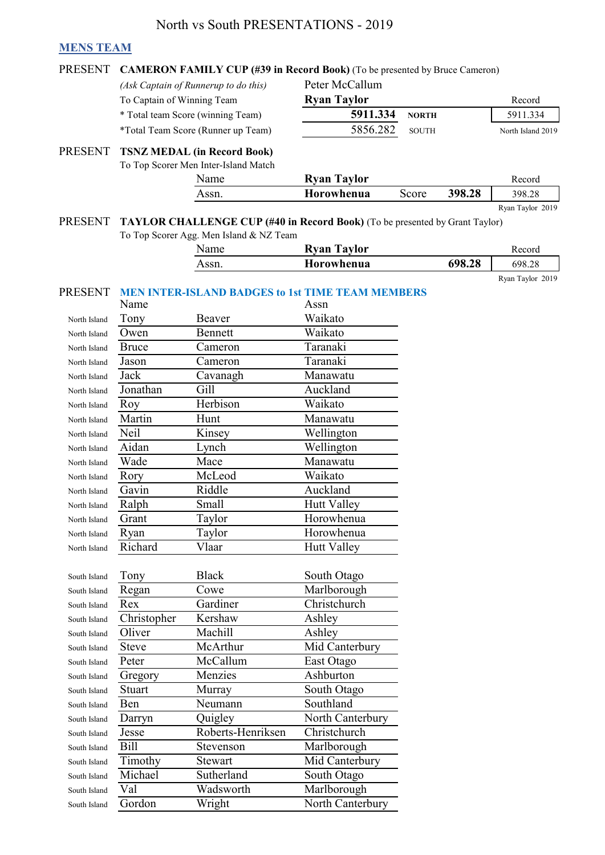#### **MENS TEAM**

|  | PRESENT CAMERON FAMILY CUP (#39 in Record Book) (To be presented by Bruce Cameror |  |  |  |  |  |  |  |  |  |  |
|--|-----------------------------------------------------------------------------------|--|--|--|--|--|--|--|--|--|--|
|--|-----------------------------------------------------------------------------------|--|--|--|--|--|--|--|--|--|--|

*(Ask Captain of Runnerup to do this)* Peter McCallum

To Captain of Winning Team **Ryan Taylor** Record

\* Total team Score (winning Team) **5911.334 NORTH** 5911.334

\*Total Team Score (Runner up Team) 5856.282 SOUTH

#### PRESENT **TSNZ MEDAL (in Record Book)**

To Top Scorer Men Inter-Island Match

| Name  | <b>Ryan Taylor</b> |       |        | Record           |
|-------|--------------------|-------|--------|------------------|
| Assn. | Horowhenua         | Score | 398.28 | 398.28           |
|       |                    |       |        | Ryan Taylor 2019 |

North Island 2019

#### PRESENT TAYLOR CHALLENGE CUP (#40 in Record Book) (To be presented by Grant Taylor) To Top Scorer Agg. Men Island & NZ Team

| --<br><b>Name</b> | <b>Ryan Taylor</b> |        | Record           |  |
|-------------------|--------------------|--------|------------------|--|
| Assn.             | Horowhenua         | 698.28 | 698.28           |  |
|                   |                    |        | Ryan Taylor 2019 |  |

#### PRESENT **MEN INTER-ISLAND BADGES to 1st TIME TEAM MEMBERS**

|              | Name         |                   | Assn               |
|--------------|--------------|-------------------|--------------------|
| North Island | Tony         | Beaver            | Waikato            |
| North Island | Owen         | Bennett           | Waikato            |
| North Island | <b>Bruce</b> | Cameron           | Taranaki           |
| North Island | Jason        | Cameron           | Taranaki           |
| North Island | Jack         | Cavanagh          | Manawatu           |
| North Island | Jonathan     | Gill              | Auckland           |
| North Island | Roy          | Herbison          | Waikato            |
| North Island | Martin       | Hunt              | Manawatu           |
| North Island | Neil         | Kinsey            | Wellington         |
| North Island | Aidan        | Lynch             | Wellington         |
| North Island | Wade         | Mace              | Manawatu           |
| North Island | Rory         | McLeod            | Waikato            |
| North Island | Gavin        | Riddle            | Auckland           |
| North Island | Ralph        | Small             | <b>Hutt Valley</b> |
| North Island | Grant        | Taylor            | Horowhenua         |
| North Island | Ryan         | Taylor            | Horowhenua         |
| North Island | Richard      | Vlaar             | <b>Hutt Valley</b> |
|              |              |                   |                    |
|              |              |                   |                    |
| South Island | Tony         | <b>Black</b>      | South Otago        |
| South Island | Regan        | Cowe              | Marlborough        |
| South Island | Rex          | Gardiner          | Christchurch       |
| South Island | Christopher  | Kershaw           | Ashley             |
| South Island | Oliver       | Machill           | Ashley             |
| South Island | Steve        | McArthur          | Mid Canterbury     |
| South Island | Peter        | McCallum          | East Otago         |
| South Island | Gregory      | Menzies           | Ashburton          |
| South Island | Stuart       | Murray            | South Otago        |
| South Island | Ben          | Neumann           | Southland          |
| South Island | Darryn       | Quigley           | North Canterbury   |
| South Island | Jesse        | Roberts-Henriksen | Christchurch       |
| South Island | <b>Bill</b>  | Stevenson         | Marlborough        |
| South Island | Timothy      | Stewart           | Mid Canterbury     |
| South Island | Michael      | Sutherland        | South Otago        |
| South Island | Val          | Wadsworth         | Marlborough        |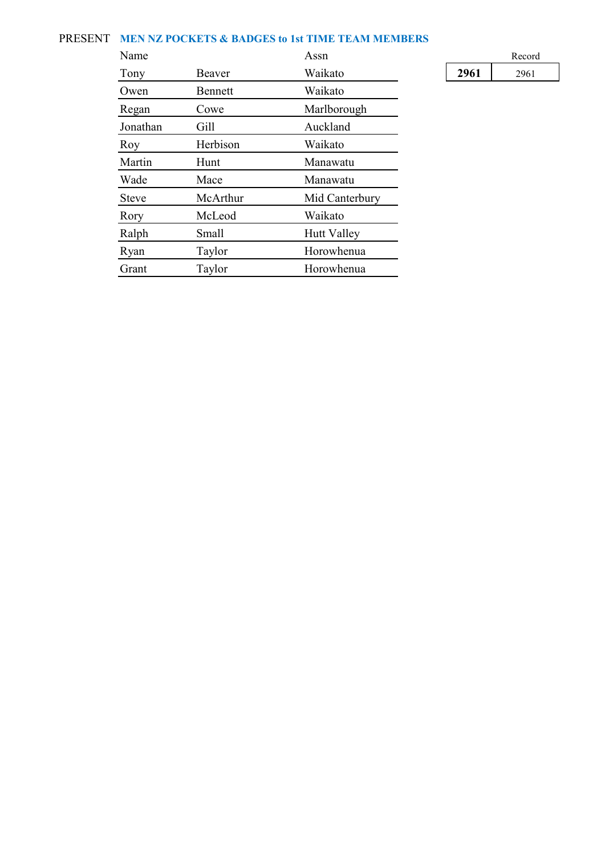#### PRESENT **MEN NZ POCKETS & BADGES to 1st TIME TEAM MEMBERS**

| Name         |          | Assn               |      | Record |
|--------------|----------|--------------------|------|--------|
| Tony         | Beaver   | Waikato            | 2961 | 2961   |
| Owen         | Bennett  | Waikato            |      |        |
| Regan        | Cowe     | Marlborough        |      |        |
| Jonathan     | Gill     | Auckland           |      |        |
| Roy          | Herbison | Waikato            |      |        |
| Martin       | Hunt     | Manawatu           |      |        |
| Wade         | Mace     | Manawatu           |      |        |
| <b>Steve</b> | McArthur | Mid Canterbury     |      |        |
| Rory         | McLeod   | Waikato            |      |        |
| Ralph        | Small    | <b>Hutt Valley</b> |      |        |
| Ryan         | Taylor   | Horowhenua         |      |        |
| Grant        | Taylor   | Horowhenua         |      |        |

|      | Record |
|------|--------|
| 2961 | 2961   |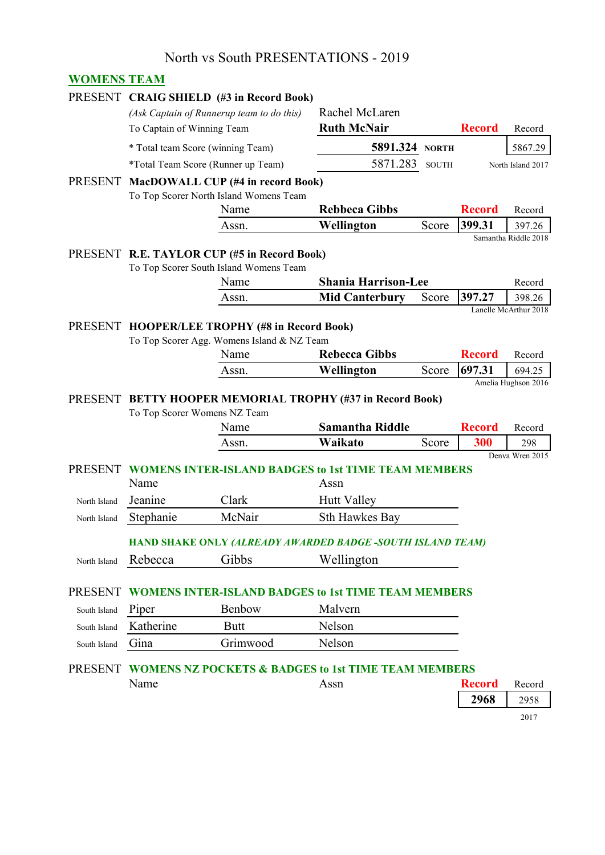#### **WOMENS TEAM**

|                |                                                                   | PRESENT CRAIG SHIELD (#3 in Record Book)                       |                            |              |               |                                |  |
|----------------|-------------------------------------------------------------------|----------------------------------------------------------------|----------------------------|--------------|---------------|--------------------------------|--|
|                |                                                                   | (Ask Captain of Runnerup team to do this)                      | Rachel McLaren             |              |               |                                |  |
|                | To Captain of Winning Team                                        |                                                                | <b>Ruth McNair</b>         |              | <b>Record</b> | Record                         |  |
|                |                                                                   | * Total team Score (winning Team)                              | 5891.324                   | <b>NORTH</b> |               | 5867.29                        |  |
|                |                                                                   | *Total Team Score (Runner up Team)                             | 5871.283                   | <b>SOUTH</b> |               | North Island 2017              |  |
|                |                                                                   | PRESENT MacDOWALL CUP (#4 in record Book)                      |                            |              |               |                                |  |
|                |                                                                   | To Top Scorer North Island Womens Team                         |                            |              |               |                                |  |
|                |                                                                   | Name                                                           | <b>Rebbeca Gibbs</b>       |              | <b>Record</b> | Record                         |  |
|                |                                                                   | Assn.                                                          | Wellington                 | Score        | 399.31        | 397.26<br>Samantha Riddle 2018 |  |
|                |                                                                   | PRESENT R.E. TAYLOR CUP (#5 in Record Book)                    |                            |              |               |                                |  |
|                |                                                                   | To Top Scorer South Island Womens Team                         |                            |              |               |                                |  |
|                |                                                                   | Name                                                           | <b>Shania Harrison-Lee</b> |              |               | Record                         |  |
|                |                                                                   | Assn.                                                          | <b>Mid Canterbury</b>      | Score        | 397.27        | 398.26                         |  |
|                |                                                                   |                                                                |                            |              |               | Lanelle McArthur 2018          |  |
|                |                                                                   | PRESENT HOOPER/LEE TROPHY (#8 in Record Book)                  |                            |              |               |                                |  |
|                |                                                                   | To Top Scorer Agg. Womens Island & NZ Team<br>Name             | <b>Rebecca Gibbs</b>       |              | <b>Record</b> | Record                         |  |
|                |                                                                   | Assn.                                                          | Wellington                 | Score        | 697.31        | 694.25                         |  |
|                |                                                                   |                                                                |                            |              |               | Amelia Hughson 2016            |  |
| <b>PRESENT</b> |                                                                   | <b>BETTY HOOPER MEMORIAL TROPHY (#37 in Record Book)</b>       |                            |              |               |                                |  |
|                |                                                                   | To Top Scorer Womens NZ Team                                   |                            |              |               |                                |  |
|                |                                                                   | Name                                                           | <b>Samantha Riddle</b>     |              | <b>Record</b> | Record                         |  |
|                |                                                                   | Assn.                                                          | Waikato                    | Score        | 300           | 298<br>Denva Wren 2015         |  |
| <b>PRESENT</b> |                                                                   | <b>WOMENS INTER-ISLAND BADGES to 1st TIME TEAM MEMBERS</b>     |                            |              |               |                                |  |
|                | Name                                                              |                                                                | Assn                       |              |               |                                |  |
| North Island   | Jeanine                                                           | Clark                                                          | <b>Hutt Valley</b>         |              |               |                                |  |
| North Island   | Stephanie                                                         | McNair                                                         | <b>Sth Hawkes Bay</b>      |              |               |                                |  |
|                | <b>HAND SHAKE ONLY (ALREADY AWARDED BADGE -SOUTH ISLAND TEAM)</b> |                                                                |                            |              |               |                                |  |
|                | Rebecca                                                           | Gibbs                                                          |                            |              |               |                                |  |
| North Island   |                                                                   |                                                                | Wellington                 |              |               |                                |  |
| <b>PRESENT</b> |                                                                   | <b>WOMENS INTER-ISLAND BADGES to 1st TIME TEAM MEMBERS</b>     |                            |              |               |                                |  |
| South Island   | Piper                                                             | Benbow                                                         | Malvern                    |              |               |                                |  |
| South Island   | Katherine                                                         | <b>Butt</b>                                                    | Nelson                     |              |               |                                |  |
|                | Gina                                                              | Grimwood                                                       | Nelson                     |              |               |                                |  |
| South Island   |                                                                   |                                                                |                            |              |               |                                |  |
| <b>PRESENT</b> |                                                                   | <b>WOMENS NZ POCKETS &amp; BADGES to 1st TIME TEAM MEMBERS</b> |                            |              |               |                                |  |
|                | Name                                                              |                                                                | Assn                       |              | <b>Record</b> | Record                         |  |
|                |                                                                   |                                                                |                            |              | 2968          | 2958                           |  |
|                |                                                                   |                                                                |                            |              |               | 2017                           |  |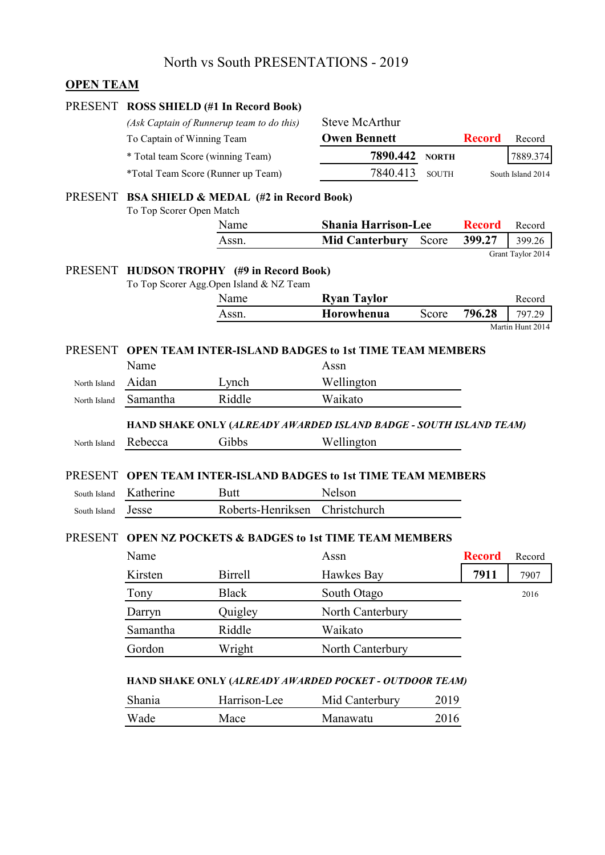#### **OPEN TEAM**

| PRESENT        |                                    | <b>ROSS SHIELD (#1 In Record Book)</b>                                              |                            |              |               |                   |
|----------------|------------------------------------|-------------------------------------------------------------------------------------|----------------------------|--------------|---------------|-------------------|
|                |                                    | (Ask Captain of Runnerup team to do this)                                           | <b>Steve McArthur</b>      |              |               |                   |
|                | To Captain of Winning Team         |                                                                                     | <b>Owen Bennett</b>        |              | <b>Record</b> | Record            |
|                | * Total team Score (winning Team)  |                                                                                     | 7890.442                   | <b>NORTH</b> |               | 7889.374          |
|                | *Total Team Score (Runner up Team) |                                                                                     | 7840.413                   | <b>SOUTH</b> |               | South Island 2014 |
| <b>PRESENT</b> |                                    | <b>BSA SHIELD &amp; MEDAL (#2 in Record Book)</b>                                   |                            |              |               |                   |
|                | To Top Scorer Open Match           |                                                                                     |                            |              |               |                   |
|                |                                    | Name                                                                                | <b>Shania Harrison-Lee</b> |              | <b>Record</b> | Record            |
|                |                                    | Assn.                                                                               | <b>Mid Canterbury</b>      | Score        | 399.27        | 399.26            |
|                |                                    |                                                                                     |                            |              |               | Grant Taylor 2014 |
| PRESENT        |                                    | <b>HUDSON TROPHY</b> (#9 in Record Book)<br>To Top Scorer Agg.Open Island & NZ Team |                            |              |               |                   |
|                |                                    | Name                                                                                | <b>Ryan Taylor</b>         |              |               | Record            |
|                |                                    | Assn.                                                                               | Horowhenua                 | Score        | 796.28        | 797.29            |
|                |                                    |                                                                                     |                            |              |               | Martin Hunt 2014  |
| <b>PRESENT</b> |                                    | <b>OPEN TEAM INTER-ISLAND BADGES to 1st TIME TEAM MEMBERS</b>                       |                            |              |               |                   |
|                | Name                               |                                                                                     | Assn                       |              |               |                   |
| North Island   | Aidan                              | Lynch                                                                               | Wellington                 |              |               |                   |
| North Island   | Samantha                           | Riddle                                                                              | Waikato                    |              |               |                   |
|                |                                    |                                                                                     |                            |              |               |                   |
|                |                                    | HAND SHAKE ONLY (ALREADY AWARDED ISLAND BADGE - SOUTH ISLAND TEAM)                  |                            |              |               |                   |
| North Island   | Rebecca                            | Gibbs                                                                               | Wellington                 |              |               |                   |
|                |                                    |                                                                                     |                            |              |               |                   |
| <b>PRESENT</b> |                                    | <b>OPEN TEAM INTER-ISLAND BADGES to 1st TIME TEAM MEMBERS</b>                       |                            |              |               |                   |
| South Island   | Katherine                          | <b>Butt</b>                                                                         | Nelson                     |              |               |                   |
| South Island   | Jesse                              | Roberts-Henriksen                                                                   | Christchurch               |              |               |                   |
| <b>PRESENT</b> |                                    | <b>OPEN NZ POCKETS &amp; BADGES to 1st TIME TEAM MEMBERS</b>                        |                            |              |               |                   |
|                | Name                               |                                                                                     | Assn                       |              | <b>Record</b> | Record            |
|                | Kirsten                            | <b>Birrell</b>                                                                      | Hawkes Bay                 |              | 7911          | 7907              |
|                | Tony                               | <b>Black</b>                                                                        | South Otago                |              |               | 2016              |
|                | Darryn                             | Quigley                                                                             | North Canterbury           |              |               |                   |
|                | Samantha                           | Riddle                                                                              | Waikato                    |              |               |                   |
|                | Gordon                             | Wright                                                                              | North Canterbury           |              |               |                   |
|                |                                    |                                                                                     |                            |              |               |                   |
|                |                                    | HAND SHAKE ONLY (ALREADY AWARDED POCKET - OUTDOOR TEAM)                             |                            |              |               |                   |
|                | Shania                             | Harrison-Lee                                                                        | Mid Canterbury             | 2019         |               |                   |
|                | Wade                               | Mace                                                                                | Manawatu                   | 2016         |               |                   |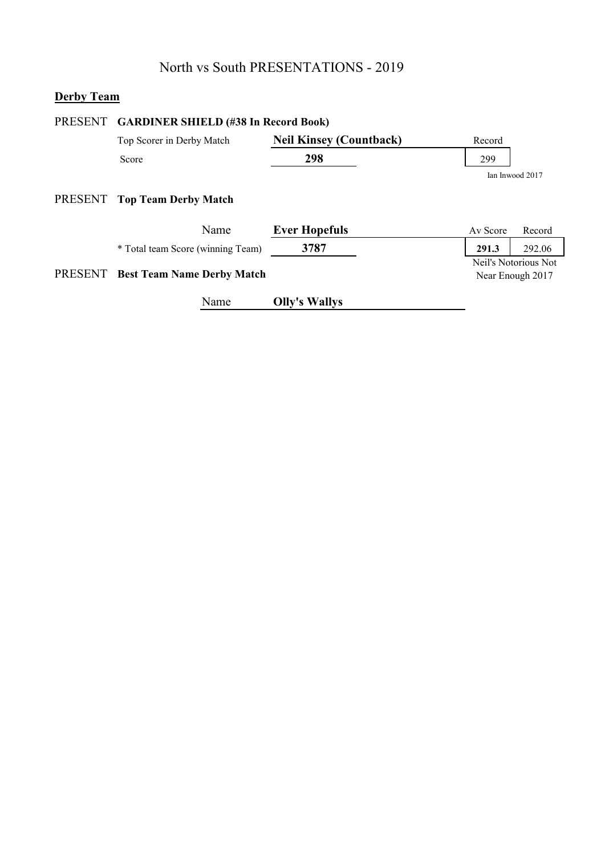# **Derby Team**

|         | PRESENT GARDINER SHIELD (#38 In Record Book) |                                |                                          |        |  |
|---------|----------------------------------------------|--------------------------------|------------------------------------------|--------|--|
|         | Top Scorer in Derby Match                    | <b>Neil Kinsey (Countback)</b> | Record                                   |        |  |
|         | Score                                        | 298                            | 299                                      |        |  |
|         |                                              |                                | Ian Inwood 2017                          |        |  |
| PRESENT | <b>Top Team Derby Match</b>                  |                                |                                          |        |  |
|         | Name                                         | <b>Ever Hopefuls</b>           | Av Score                                 | Record |  |
|         | * Total team Score (winning Team)            | 3787                           | 291.3                                    | 292.06 |  |
| PRESENT | <b>Best Team Name Derby Match</b>            |                                | Neil's Notorious Not<br>Near Enough 2017 |        |  |
|         | Name                                         | <b>Olly's Wallys</b>           |                                          |        |  |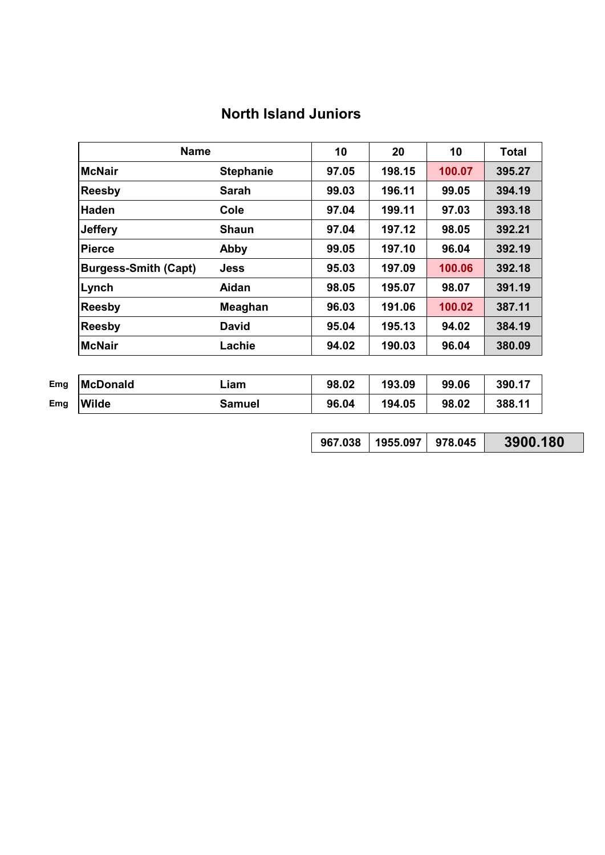# **North Island Juniors**

|                             | <b>Name</b>      |       | 20     | 10     | <b>Total</b> |
|-----------------------------|------------------|-------|--------|--------|--------------|
| <b>McNair</b>               | <b>Stephanie</b> | 97.05 | 198.15 | 100.07 | 395.27       |
| <b>Reesby</b>               | <b>Sarah</b>     | 99.03 | 196.11 | 99.05  | 394.19       |
| <b>Haden</b>                | Cole             | 97.04 | 199.11 | 97.03  | 393.18       |
| <b>Jeffery</b>              | <b>Shaun</b>     | 97.04 | 197.12 | 98.05  | 392.21       |
| <b>Pierce</b>               | Abby             | 99.05 | 197.10 | 96.04  | 392.19       |
| <b>Burgess-Smith (Capt)</b> | <b>Jess</b>      | 95.03 | 197.09 | 100.06 | 392.18       |
| Lynch                       | Aidan            | 98.05 | 195.07 | 98.07  | 391.19       |
| <b>Reesby</b>               | <b>Meaghan</b>   | 96.03 | 191.06 | 100.02 | 387.11       |
| <b>Reesby</b>               | <b>David</b>     | 95.04 | 195.13 | 94.02  | 384.19       |
| <b>McNair</b>               | Lachie           | 94.02 | 190.03 | 96.04  | 380.09       |

| Emg | <b>McDonald</b> | ∟iam   | 98.02 | 193.09 | 99.06 | 390.17 |
|-----|-----------------|--------|-------|--------|-------|--------|
| Emg | <b>Wilde</b>    | Samuel | 96.04 | 194.05 | 98.02 | 388.11 |

| 967.038   1955.097   978.045 |  | 3900.180 |
|------------------------------|--|----------|
|------------------------------|--|----------|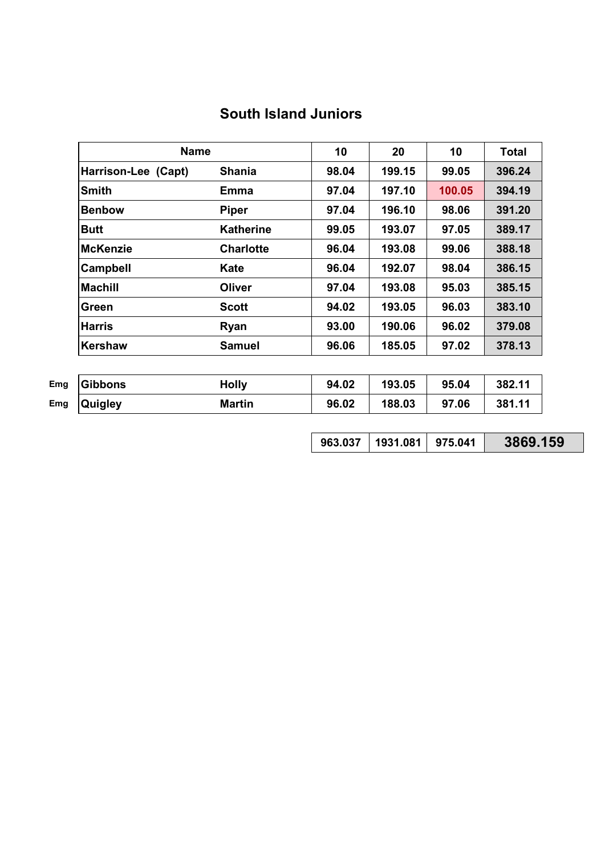# **South Island Juniors**

|                     | <b>Name</b>      |       | 20     | 10     | <b>Total</b> |
|---------------------|------------------|-------|--------|--------|--------------|
| Harrison-Lee (Capt) | <b>Shania</b>    | 98.04 | 199.15 | 99.05  | 396.24       |
| <b>Smith</b>        | Emma             | 97.04 | 197.10 | 100.05 | 394.19       |
| <b>Benbow</b>       | <b>Piper</b>     | 97.04 | 196.10 | 98.06  | 391.20       |
| <b>Butt</b>         | <b>Katherine</b> | 99.05 | 193.07 | 97.05  | 389.17       |
| <b>McKenzie</b>     | <b>Charlotte</b> | 96.04 | 193.08 | 99.06  | 388.18       |
| <b>Campbell</b>     | Kate             | 96.04 | 192.07 | 98.04  | 386.15       |
| <b>Machill</b>      | Oliver           | 97.04 | 193.08 | 95.03  | 385.15       |
| Green               | <b>Scott</b>     | 94.02 | 193.05 | 96.03  | 383.10       |
| <b>Harris</b>       | <b>Ryan</b>      | 93.00 | 190.06 | 96.02  | 379.08       |
| Kershaw             | <b>Samuel</b>    | 96.06 | 185.05 | 97.02  | 378.13       |

| Emg | Gibbons        | <b>Holly</b> | 94.02 | 193.05 | 95.04 | 382.11 |
|-----|----------------|--------------|-------|--------|-------|--------|
| Emg | <b>Quigley</b> | Martin       | 96.02 | 188.03 | 97.06 | 381.11 |

| 963.037   1931.081   975.041 |  | 3869.159 |
|------------------------------|--|----------|
|------------------------------|--|----------|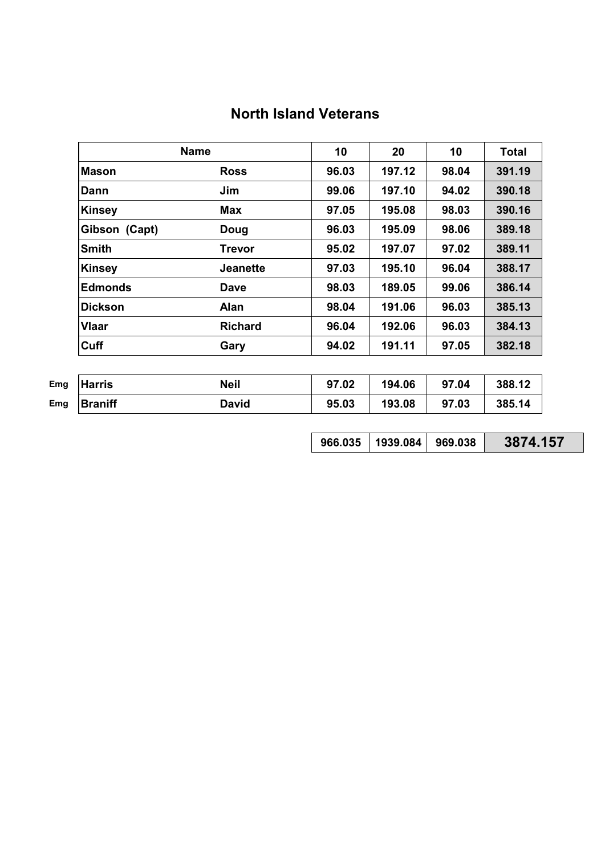|                | <b>Name</b>     |       | 20     | 10    | <b>Total</b> |
|----------------|-----------------|-------|--------|-------|--------------|
| <b>Mason</b>   | <b>Ross</b>     | 96.03 | 197.12 | 98.04 | 391.19       |
| Dann           | Jim             | 99.06 | 197.10 | 94.02 | 390.18       |
| <b>Kinsey</b>  | <b>Max</b>      | 97.05 | 195.08 | 98.03 | 390.16       |
| Gibson (Capt)  | <b>Doug</b>     | 96.03 | 195.09 | 98.06 | 389.18       |
| <b>Smith</b>   | <b>Trevor</b>   | 95.02 | 197.07 | 97.02 | 389.11       |
| <b>Kinsey</b>  | <b>Jeanette</b> | 97.03 | 195.10 | 96.04 | 388.17       |
| <b>Edmonds</b> | <b>Dave</b>     | 98.03 | 189.05 | 99.06 | 386.14       |
| <b>Dickson</b> | <b>Alan</b>     | 98.04 | 191.06 | 96.03 | 385.13       |
| <b>Vlaar</b>   | <b>Richard</b>  | 96.04 | 192.06 | 96.03 | 384.13       |
| <b>Cuff</b>    | Gary            | 94.02 | 191.11 | 97.05 | 382.18       |

| Emg | <b>Harris</b> | Neil  | 97.02 | 194.06 | 97.04 | 388.12 |
|-----|---------------|-------|-------|--------|-------|--------|
| Emg | Braniff       | David | 95.03 | 193.08 | 97.03 | 385.14 |

| $966.035$   1939.084   969.038 |  | 3874.157 |
|--------------------------------|--|----------|
|--------------------------------|--|----------|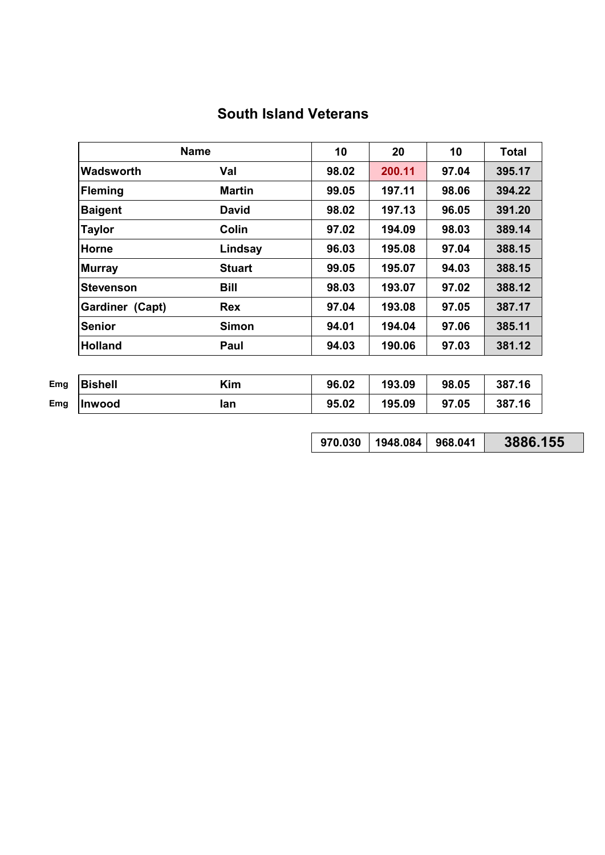# **South Island Veterans**

|                  | <b>Name</b>   |       | 20     | 10    | <b>Total</b> |
|------------------|---------------|-------|--------|-------|--------------|
| <b>Wadsworth</b> | Val           | 98.02 | 200.11 | 97.04 | 395.17       |
| <b>Fleming</b>   | <b>Martin</b> | 99.05 | 197.11 | 98.06 | 394.22       |
| <b>Baigent</b>   | <b>David</b>  | 98.02 | 197.13 | 96.05 | 391.20       |
| <b>Taylor</b>    | Colin         | 97.02 | 194.09 | 98.03 | 389.14       |
| Horne            | Lindsay       | 96.03 | 195.08 | 97.04 | 388.15       |
| <b>Murray</b>    | <b>Stuart</b> | 99.05 | 195.07 | 94.03 | 388.15       |
| <b>Stevenson</b> | <b>Bill</b>   | 98.03 | 193.07 | 97.02 | 388.12       |
| Gardiner (Capt)  | <b>Rex</b>    | 97.04 | 193.08 | 97.05 | 387.17       |
| <b>Senior</b>    | <b>Simon</b>  | 94.01 | 194.04 | 97.06 | 385.11       |
| <b>Holland</b>   | Paul          | 94.03 | 190.06 | 97.03 | 381.12       |

| Emg | <b>Bishell</b> | Kim  | 96.02 | 193.09 | 98.05 | 387.16 |
|-----|----------------|------|-------|--------|-------|--------|
| Emg | <b>Ilnwood</b> | lan. | 95.02 | 195.09 | 97.05 | 387.16 |

| 970.030   1948.084   968.041 |  | 3886.155 |
|------------------------------|--|----------|
|------------------------------|--|----------|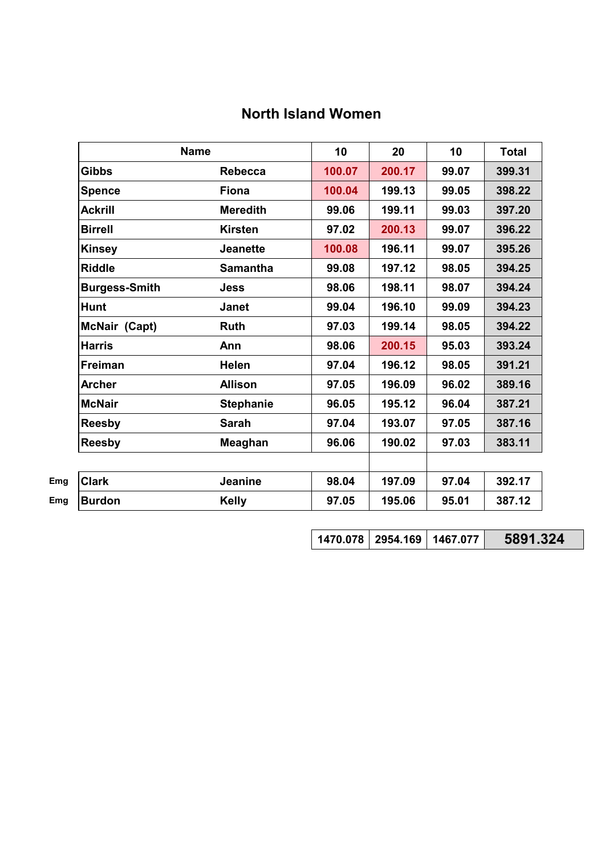# **North Island Women**

| <b>Name</b>          |                  | 10     | 20     | 10    | <b>Total</b> |
|----------------------|------------------|--------|--------|-------|--------------|
| <b>Gibbs</b>         | <b>Rebecca</b>   | 100.07 | 200.17 | 99.07 | 399.31       |
| <b>Spence</b>        | <b>Fiona</b>     | 100.04 | 199.13 | 99.05 | 398.22       |
| <b>Ackrill</b>       | <b>Meredith</b>  | 99.06  | 199.11 | 99.03 | 397.20       |
| <b>Birrell</b>       | <b>Kirsten</b>   | 97.02  | 200.13 | 99.07 | 396.22       |
| <b>Kinsey</b>        | <b>Jeanette</b>  | 100.08 | 196.11 | 99.07 | 395.26       |
| <b>Riddle</b>        | <b>Samantha</b>  | 99.08  | 197.12 | 98.05 | 394.25       |
| <b>Burgess-Smith</b> | <b>Jess</b>      | 98.06  | 198.11 | 98.07 | 394.24       |
| <b>Hunt</b>          | <b>Janet</b>     | 99.04  | 196.10 | 99.09 | 394.23       |
| McNair (Capt)        | <b>Ruth</b>      | 97.03  | 199.14 | 98.05 | 394.22       |
| <b>Harris</b>        | Ann              | 98.06  | 200.15 | 95.03 | 393.24       |
| <b>Freiman</b>       | <b>Helen</b>     | 97.04  | 196.12 | 98.05 | 391.21       |
| <b>Archer</b>        | <b>Allison</b>   | 97.05  | 196.09 | 96.02 | 389.16       |
| <b>McNair</b>        | <b>Stephanie</b> | 96.05  | 195.12 | 96.04 | 387.21       |
| <b>Reesby</b>        | <b>Sarah</b>     | 97.04  | 193.07 | 97.05 | 387.16       |
| <b>Reesby</b>        | Meaghan          | 96.06  | 190.02 | 97.03 | 383.11       |
|                      |                  |        |        |       |              |
| <b>Clark</b>         | Jeanine          | 98.04  | 197.09 | 97.04 | 392.17       |
| <b>Burdon</b>        | <b>Kelly</b>     | 97.05  | 195.06 | 95.01 | 387.12       |

**1470.078 2954.169 1467.077 5891.324**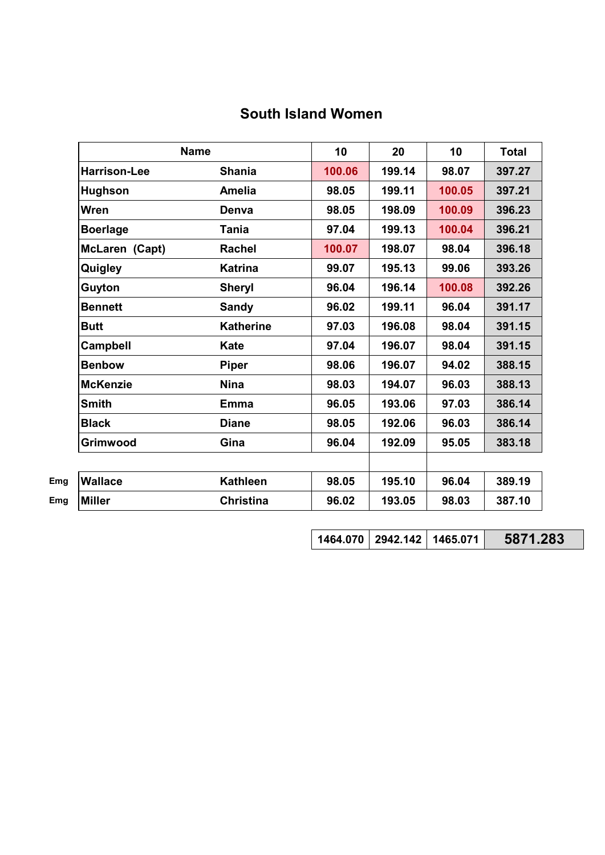|  |  |  | <b>South Island Women</b> |
|--|--|--|---------------------------|
|--|--|--|---------------------------|

| <b>Name</b>         |                  | 10     | 20     | 10     | <b>Total</b> |
|---------------------|------------------|--------|--------|--------|--------------|
| <b>Harrison-Lee</b> | <b>Shania</b>    | 100.06 | 199.14 | 98.07  | 397.27       |
| <b>Hughson</b>      | <b>Amelia</b>    | 98.05  | 199.11 | 100.05 | 397.21       |
| Wren                | Denva            | 98.05  | 198.09 | 100.09 | 396.23       |
| <b>Boerlage</b>     | <b>Tania</b>     | 97.04  | 199.13 | 100.04 | 396.21       |
| McLaren (Capt)      | <b>Rachel</b>    | 100.07 | 198.07 | 98.04  | 396.18       |
| Quigley             | <b>Katrina</b>   | 99.07  | 195.13 | 99.06  | 393.26       |
| Guyton              | <b>Sheryl</b>    | 96.04  | 196.14 | 100.08 | 392.26       |
| <b>Bennett</b>      | <b>Sandy</b>     | 96.02  | 199.11 | 96.04  | 391.17       |
| <b>Butt</b>         | <b>Katherine</b> | 97.03  | 196.08 | 98.04  | 391.15       |
| Campbell            | <b>Kate</b>      | 97.04  | 196.07 | 98.04  | 391.15       |
| <b>Benbow</b>       | <b>Piper</b>     | 98.06  | 196.07 | 94.02  | 388.15       |
| <b>McKenzie</b>     | <b>Nina</b>      | 98.03  | 194.07 | 96.03  | 388.13       |
| <b>Smith</b>        | <b>Emma</b>      | 96.05  | 193.06 | 97.03  | 386.14       |
| <b>Black</b>        | <b>Diane</b>     | 98.05  | 192.06 | 96.03  | 386.14       |
| Grimwood            | Gina             | 96.04  | 192.09 | 95.05  | 383.18       |
|                     |                  |        |        |        |              |
| <b>Wallace</b>      | <b>Kathleen</b>  | 98.05  | 195.10 | 96.04  | 389.19       |
| <b>Miller</b>       | <b>Christina</b> | 96.02  | 193.05 | 98.03  | 387.10       |

**1464.070 2942.142 1465.071 5871.283**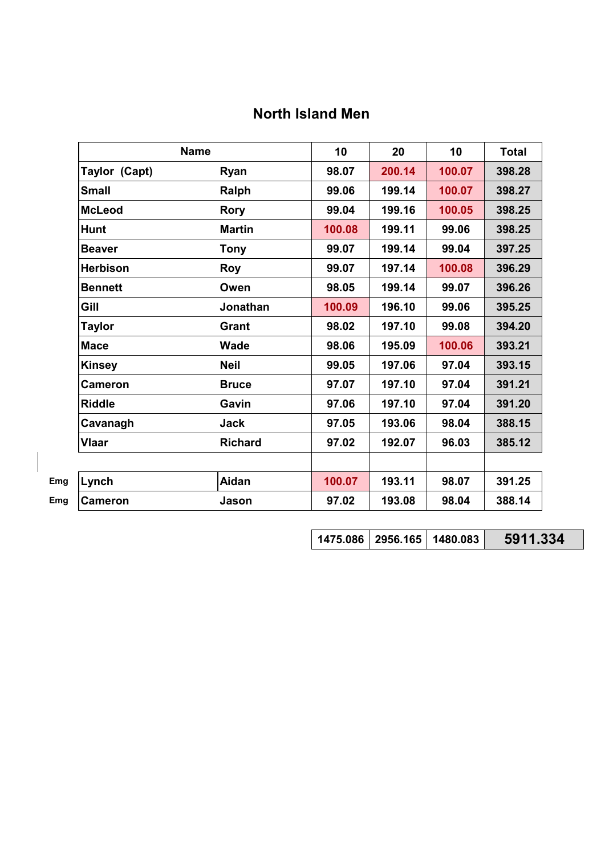# **North Island Men**

| <b>Name</b>     |                | 10     | 20     | 10     | <b>Total</b> |
|-----------------|----------------|--------|--------|--------|--------------|
| Taylor (Capt)   | Ryan           | 98.07  | 200.14 | 100.07 | 398.28       |
| <b>Small</b>    | Ralph          | 99.06  | 199.14 | 100.07 | 398.27       |
| <b>McLeod</b>   | <b>Rory</b>    | 99.04  | 199.16 | 100.05 | 398.25       |
| <b>Hunt</b>     | <b>Martin</b>  | 100.08 | 199.11 | 99.06  | 398.25       |
| <b>Beaver</b>   | <b>Tony</b>    | 99.07  | 199.14 | 99.04  | 397.25       |
| <b>Herbison</b> | <b>Roy</b>     | 99.07  | 197.14 | 100.08 | 396.29       |
| <b>Bennett</b>  | Owen           | 98.05  | 199.14 | 99.07  | 396.26       |
| Gill            | Jonathan       | 100.09 | 196.10 | 99.06  | 395.25       |
| <b>Taylor</b>   | Grant          | 98.02  | 197.10 | 99.08  | 394.20       |
| <b>Mace</b>     | <b>Wade</b>    | 98.06  | 195.09 | 100.06 | 393.21       |
| <b>Kinsey</b>   | <b>Neil</b>    | 99.05  | 197.06 | 97.04  | 393.15       |
| <b>Cameron</b>  | <b>Bruce</b>   | 97.07  | 197.10 | 97.04  | 391.21       |
| <b>Riddle</b>   | Gavin          | 97.06  | 197.10 | 97.04  | 391.20       |
| Cavanagh        | <b>Jack</b>    | 97.05  | 193.06 | 98.04  | 388.15       |
| <b>Vlaar</b>    | <b>Richard</b> | 97.02  | 192.07 | 96.03  | 385.12       |
|                 |                |        |        |        |              |
| Lynch           | <b>Aidan</b>   | 100.07 | 193.11 | 98.07  | 391.25       |
| <b>Cameron</b>  | Jason          | 97.02  | 193.08 | 98.04  | 388.14       |

**1475.086 2956.165 1480.083 5911.334**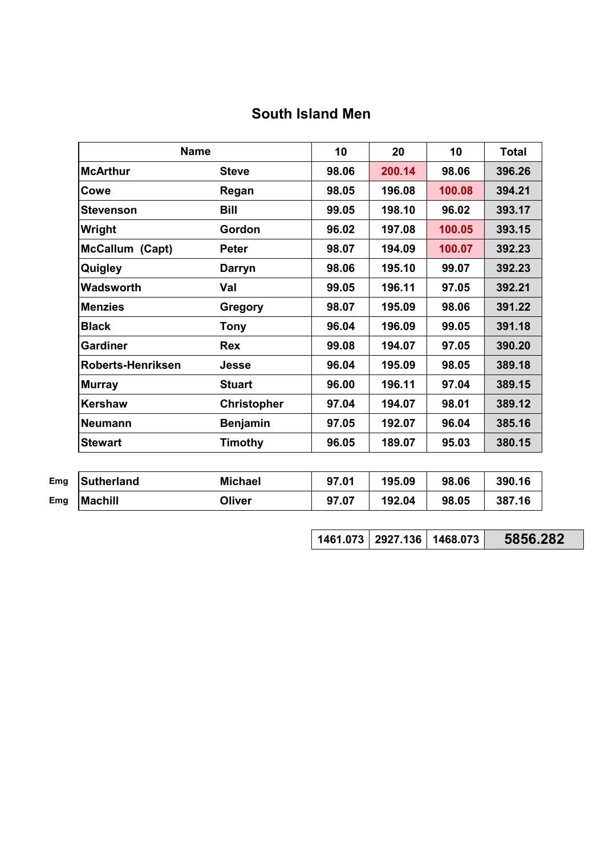# **South Island Men**

| <b>Name</b>            |                    | 10    | 20     | 10     | <b>Total</b> |
|------------------------|--------------------|-------|--------|--------|--------------|
| <b>McArthur</b>        | <b>Steve</b>       | 98.06 | 200.14 | 98.06  | 396.26       |
| Cowe                   | Regan              | 98.05 | 196.08 | 100.08 | 394.21       |
| Stevenson              | <b>Bill</b>        | 99.05 | 198.10 | 96.02  | 393.17       |
| Wright                 | Gordon             | 96.02 | 197.08 | 100.05 | 393.15       |
| <b>McCallum (Capt)</b> | <b>Peter</b>       | 98.07 | 194.09 | 100.07 | 392.23       |
| Quigley                | Darryn             | 98.06 | 195.10 | 99.07  | 392.23       |
| Wadsworth              | Val                | 99.05 | 196.11 | 97.05  | 392.21       |
| <b>Menzies</b>         | Gregory            | 98.07 | 195.09 | 98.06  | 391.22       |
| <b>Black</b>           | <b>Tony</b>        | 96.04 | 196.09 | 99.05  | 391.18       |
| <b>Gardiner</b>        | <b>Rex</b>         | 99.08 | 194.07 | 97.05  | 390.20       |
| Roberts-Henriksen      | Jesse              | 96.04 | 195.09 | 98.05  | 389.18       |
| <b>Murray</b>          | <b>Stuart</b>      | 96.00 | 196.11 | 97.04  | 389.15       |
| <b>Kershaw</b>         | <b>Christopher</b> | 97.04 | 194.07 | 98.01  | 389.12       |
| <b>Neumann</b>         | <b>Benjamin</b>    | 97.05 | 192.07 | 96.04  | 385.16       |
| <b>Stewart</b>         | Timothy            | 96.05 | 189.07 | 95.03  | 380.15       |

| Emg | Sutherland     | <b>Michael</b> | 97.01 | 195.09 | 98.06 | 390.16 |
|-----|----------------|----------------|-------|--------|-------|--------|
| Emg | <b>Machill</b> | Oliver         | 97.07 | 192.04 | 98.05 | 387.16 |

**1461.073 2927.136 1468.073 5856.282**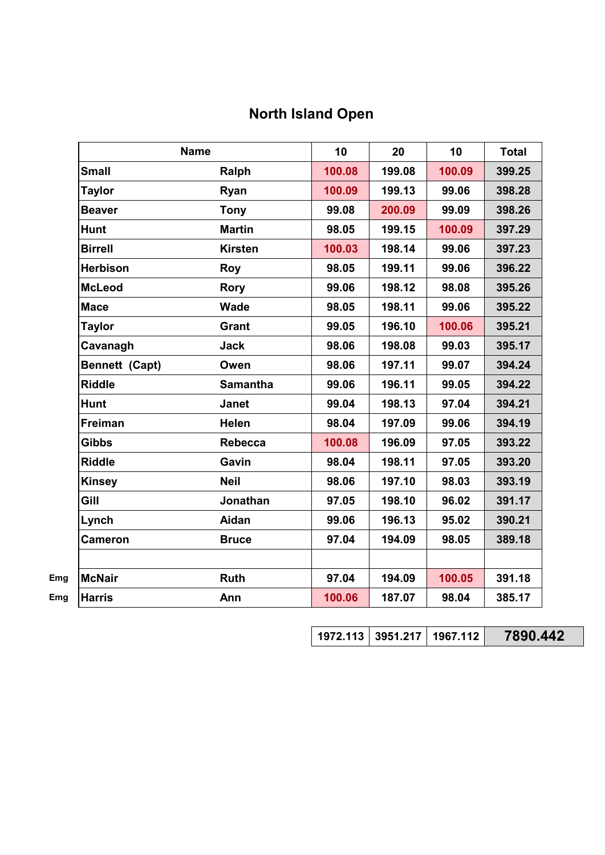# **North Island Open**

|                 | <b>Name</b>     | 10     | 20     | 10     | <b>Total</b> |
|-----------------|-----------------|--------|--------|--------|--------------|
| <b>Small</b>    | Ralph           | 100.08 | 199.08 | 100.09 | 399.25       |
| <b>Taylor</b>   | Ryan            | 100.09 | 199.13 | 99.06  | 398.28       |
| <b>Beaver</b>   | <b>Tony</b>     | 99.08  | 200.09 | 99.09  | 398.26       |
| <b>Hunt</b>     | <b>Martin</b>   | 98.05  | 199.15 | 100.09 | 397.29       |
| <b>Birrell</b>  | <b>Kirsten</b>  | 100.03 | 198.14 | 99.06  | 397.23       |
| <b>Herbison</b> | <b>Roy</b>      | 98.05  | 199.11 | 99.06  | 396.22       |
| <b>McLeod</b>   | <b>Rory</b>     | 99.06  | 198.12 | 98.08  | 395.26       |
| <b>Mace</b>     | <b>Wade</b>     | 98.05  | 198.11 | 99.06  | 395.22       |
| <b>Taylor</b>   | <b>Grant</b>    | 99.05  | 196.10 | 100.06 | 395.21       |
| Cavanagh        | <b>Jack</b>     | 98.06  | 198.08 | 99.03  | 395.17       |
| Bennett (Capt)  | Owen            | 98.06  | 197.11 | 99.07  | 394.24       |
| <b>Riddle</b>   | <b>Samantha</b> | 99.06  | 196.11 | 99.05  | 394.22       |
| <b>Hunt</b>     | <b>Janet</b>    | 99.04  | 198.13 | 97.04  | 394.21       |
| Freiman         | <b>Helen</b>    | 98.04  | 197.09 | 99.06  | 394.19       |
| <b>Gibbs</b>    | <b>Rebecca</b>  | 100.08 | 196.09 | 97.05  | 393.22       |
| <b>Riddle</b>   | Gavin           | 98.04  | 198.11 | 97.05  | 393.20       |
| <b>Kinsey</b>   | <b>Neil</b>     | 98.06  | 197.10 | 98.03  | 393.19       |
| Gill            | Jonathan        | 97.05  | 198.10 | 96.02  | 391.17       |
| Lynch           | Aidan           | 99.06  | 196.13 | 95.02  | 390.21       |
| <b>Cameron</b>  | <b>Bruce</b>    | 97.04  | 194.09 | 98.05  | 389.18       |
| <b>McNair</b>   | <b>Ruth</b>     | 97.04  | 194.09 | 100.05 | 391.18       |
| <b>Harris</b>   | Ann             | 100.06 | 187.07 | 98.04  | 385.17       |

**1972.113 3951.217 1967.112 7890.442**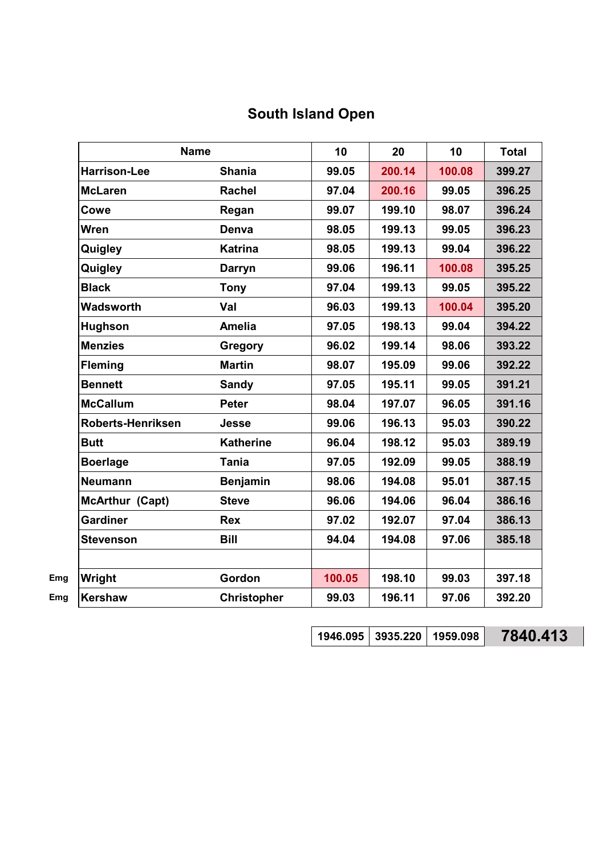# **South Island Open**

| <b>Name</b>              |                    | 10     | 20     | 10     | <b>Total</b> |
|--------------------------|--------------------|--------|--------|--------|--------------|
| <b>Harrison-Lee</b>      | <b>Shania</b>      | 99.05  | 200.14 | 100.08 | 399.27       |
| <b>McLaren</b>           | <b>Rachel</b>      | 97.04  | 200.16 | 99.05  | 396.25       |
| Cowe                     | Regan              | 99.07  | 199.10 | 98.07  | 396.24       |
| <b>Wren</b>              | Denva              | 98.05  | 199.13 | 99.05  | 396.23       |
| Quigley                  | <b>Katrina</b>     | 98.05  | 199.13 | 99.04  | 396.22       |
| Quigley                  | <b>Darryn</b>      | 99.06  | 196.11 | 100.08 | 395.25       |
| <b>Black</b>             | <b>Tony</b>        | 97.04  | 199.13 | 99.05  | 395.22       |
| <b>Wadsworth</b>         | Val                | 96.03  | 199.13 | 100.04 | 395.20       |
| <b>Hughson</b>           | <b>Amelia</b>      | 97.05  | 198.13 | 99.04  | 394.22       |
| <b>Menzies</b>           | <b>Gregory</b>     | 96.02  | 199.14 | 98.06  | 393.22       |
| <b>Fleming</b>           | <b>Martin</b>      | 98.07  | 195.09 | 99.06  | 392.22       |
| <b>Bennett</b>           | <b>Sandy</b>       | 97.05  | 195.11 | 99.05  | 391.21       |
| <b>McCallum</b>          | <b>Peter</b>       | 98.04  | 197.07 | 96.05  | 391.16       |
| <b>Roberts-Henriksen</b> | <b>Jesse</b>       | 99.06  | 196.13 | 95.03  | 390.22       |
| <b>Butt</b>              | <b>Katherine</b>   | 96.04  | 198.12 | 95.03  | 389.19       |
| <b>Boerlage</b>          | <b>Tania</b>       | 97.05  | 192.09 | 99.05  | 388.19       |
| <b>Neumann</b>           | <b>Benjamin</b>    | 98.06  | 194.08 | 95.01  | 387.15       |
| McArthur (Capt)          | <b>Steve</b>       | 96.06  | 194.06 | 96.04  | 386.16       |
| <b>Gardiner</b>          | <b>Rex</b>         | 97.02  | 192.07 | 97.04  | 386.13       |
| <b>Stevenson</b>         | <b>Bill</b>        | 94.04  | 194.08 | 97.06  | 385.18       |
| Wright                   | Gordon             | 100.05 | 198.10 | 99.03  | 397.18       |
| <b>Kershaw</b>           | <b>Christopher</b> | 99.03  | 196.11 | 97.06  | 392.20       |

**1946.095 3935.220 1959.098 7840.413**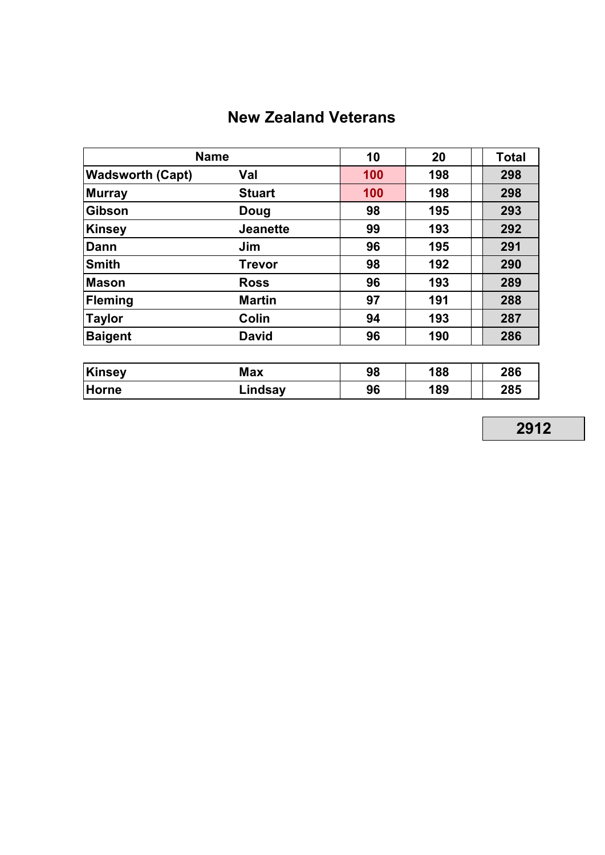# **New Zealand Veterans**

| <b>Name</b>             |                 | 10  | 20  | <b>Total</b> |
|-------------------------|-----------------|-----|-----|--------------|
| <b>Wadsworth (Capt)</b> | Val             | 100 | 198 | 298          |
| <b>Murray</b>           | <b>Stuart</b>   | 100 | 198 | 298          |
| <b>Gibson</b>           | Doug            | 98  | 195 | 293          |
| <b>Kinsey</b>           | <b>Jeanette</b> | 99  | 193 | 292          |
| Dann                    | Jim             | 96  | 195 | 291          |
| <b>Smith</b>            | <b>Trevor</b>   | 98  | 192 | 290          |
| <b>Mason</b>            | <b>Ross</b>     | 96  | 193 | 289          |
| <b>Fleming</b>          | <b>Martin</b>   | 97  | 191 | 288          |
| <b>Taylor</b>           | Colin           | 94  | 193 | 287          |
| <b>Baigent</b>          | <b>David</b>    | 96  | 190 | 286          |

| Kinsey       | Max     | 98 | 188 | 286 |
|--------------|---------|----|-----|-----|
| <b>Horne</b> | ∟indsay | 96 | 189 | 285 |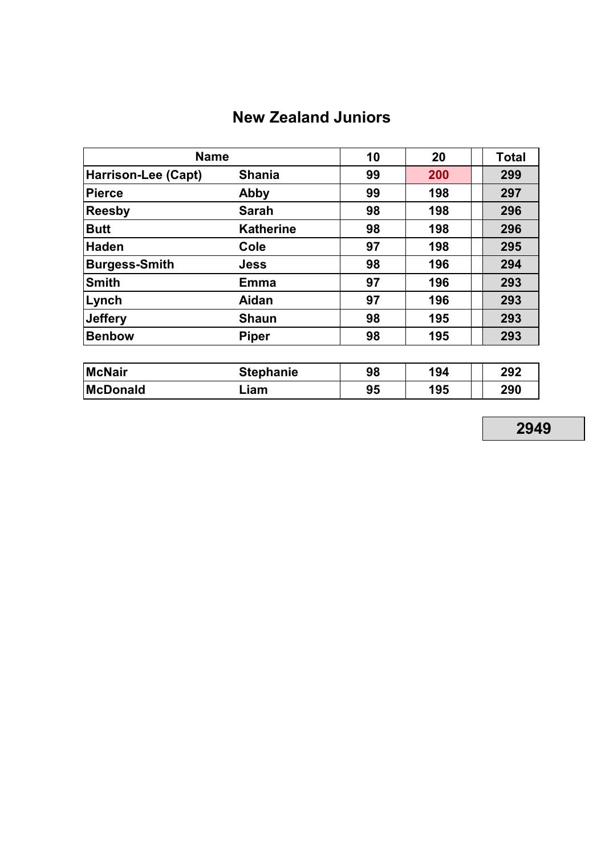# **New Zealand Juniors**

| <b>Name</b>                |                  | 10 | 20  | <b>Total</b> |
|----------------------------|------------------|----|-----|--------------|
| <b>Harrison-Lee (Capt)</b> | <b>Shania</b>    | 99 | 200 | 299          |
| <b>Pierce</b>              | Abby             | 99 | 198 | 297          |
| <b>Reesby</b>              | <b>Sarah</b>     | 98 | 198 | 296          |
| <b>Butt</b>                | <b>Katherine</b> | 98 | 198 | 296          |
| <b>Haden</b>               | Cole             | 97 | 198 | 295          |
| <b>Burgess-Smith</b>       | <b>Jess</b>      | 98 | 196 | 294          |
| <b>Smith</b>               | <b>Emma</b>      | 97 | 196 | 293          |
| Lynch                      | Aidan            | 97 | 196 | 293          |
| <b>Jeffery</b>             | <b>Shaun</b>     | 98 | 195 | 293          |
| <b>Benbow</b>              | <b>Piper</b>     | 98 | 195 | 293          |

| <b>McNair</b>   | <b>Stephanie</b> |    | 98<br>194 |  | 292 |  |
|-----------------|------------------|----|-----------|--|-----|--|
| <b>McDonald</b> | Liam.            | 95 | 195       |  | 290 |  |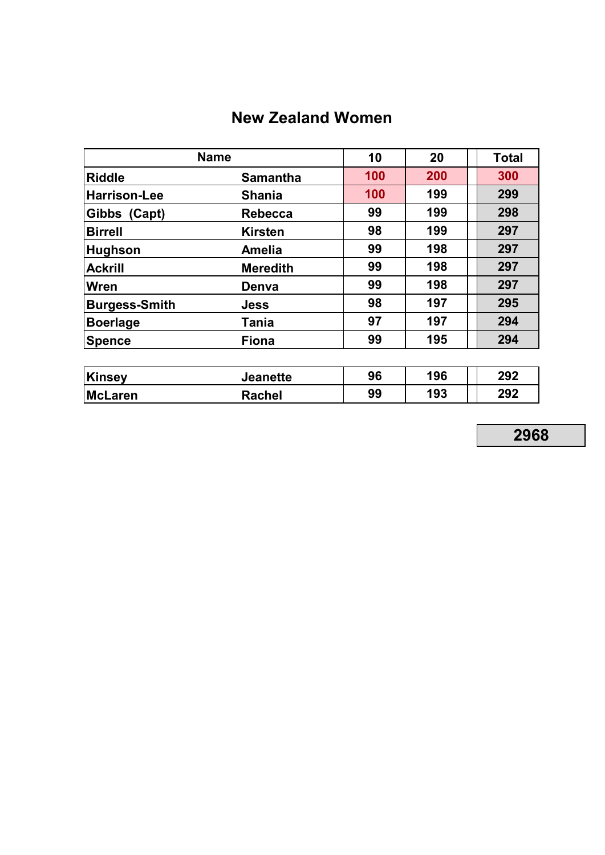# **New Zealand Women**

|                      | <b>Name</b>     |     |     | Total |
|----------------------|-----------------|-----|-----|-------|
| <b>Riddle</b>        | <b>Samantha</b> | 100 | 200 | 300   |
| <b>Harrison-Lee</b>  | <b>Shania</b>   | 100 | 199 | 299   |
| Gibbs (Capt)         | <b>Rebecca</b>  | 99  | 199 | 298   |
| <b>Birrell</b>       | <b>Kirsten</b>  | 98  | 199 | 297   |
| <b>Hughson</b>       | <b>Amelia</b>   | 99  | 198 | 297   |
| <b>Ackrill</b>       | <b>Meredith</b> | 99  | 198 | 297   |
| Wren                 | Denva           | 99  | 198 | 297   |
| <b>Burgess-Smith</b> | <b>Jess</b>     | 98  | 197 | 295   |
| <b>Boerlage</b>      | Tania           | 97  | 197 | 294   |
| <b>Spence</b>        | <b>Fiona</b>    | 99  | 195 | 294   |

| Kinsey  | <b>Jeanette</b> | 96 | 196 | 292 |
|---------|-----------------|----|-----|-----|
| McLaren | Rachel          | 99 | 193 | 292 |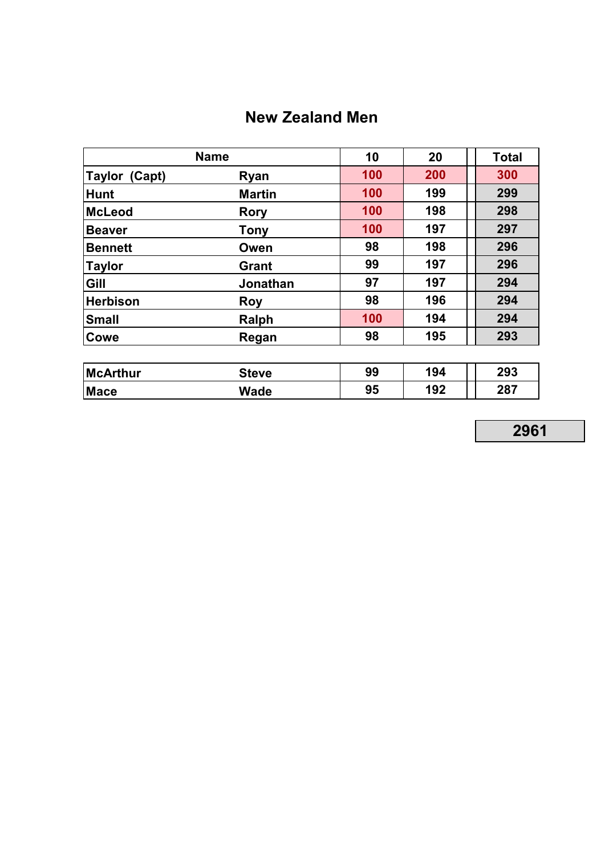# **New Zealand Men**

| <b>Name</b>     | 10              | 20  | <b>Total</b> |     |
|-----------------|-----------------|-----|--------------|-----|
| Taylor (Capt)   | Ryan            | 100 | 200          | 300 |
| <b>Hunt</b>     | <b>Martin</b>   | 100 | 199          | 299 |
| <b>McLeod</b>   | <b>Rory</b>     | 100 | 198          | 298 |
| <b>Beaver</b>   | <b>Tony</b>     | 100 | 197          | 297 |
| <b>Bennett</b>  | Owen            | 98  | 198          | 296 |
| <b>Taylor</b>   | <b>Grant</b>    | 99  | 197          | 296 |
| Gill            | <b>Jonathan</b> | 97  | 197          | 294 |
| <b>Herbison</b> | <b>Roy</b>      | 98  | 196          | 294 |
| <b>Small</b>    | Ralph           | 100 | 194          | 294 |
| Cowe            | Regan           | 98  | 195          | 293 |

| McArthur    | Steve       | 99 | 194 | 293 |
|-------------|-------------|----|-----|-----|
| <b>Mace</b> | <b>Wade</b> | 95 | 192 | 287 |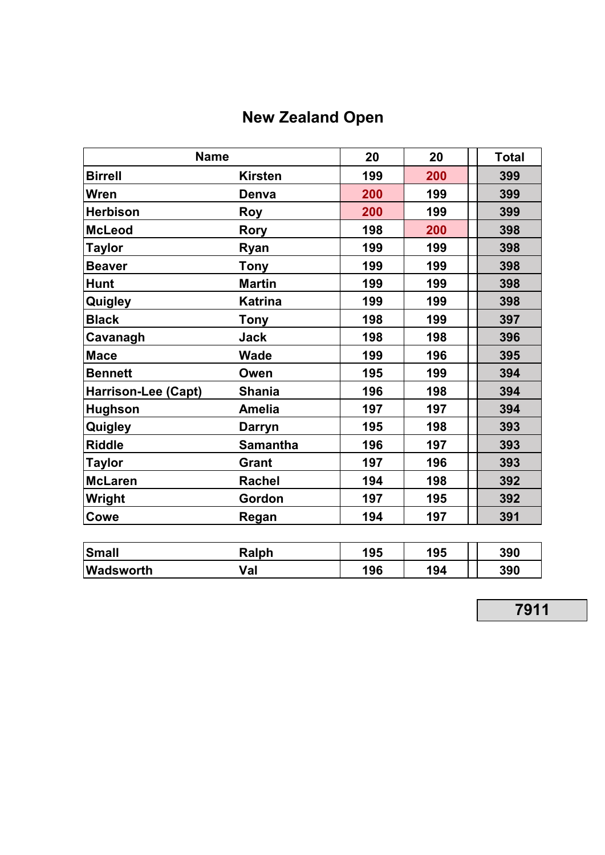# **New Zealand Open**

| <b>Name</b>         | 20              | 20  | <b>Total</b> |     |
|---------------------|-----------------|-----|--------------|-----|
| <b>Birrell</b>      | <b>Kirsten</b>  | 199 | 200          | 399 |
| <b>Wren</b>         | Denva           | 200 | 199          | 399 |
| <b>Herbison</b>     | <b>Roy</b>      | 200 | 199          | 399 |
| <b>McLeod</b>       | <b>Rory</b>     | 198 | 200          | 398 |
| <b>Taylor</b>       | Ryan            | 199 | 199          | 398 |
| <b>Beaver</b>       | <b>Tony</b>     | 199 | 199          | 398 |
| <b>Hunt</b>         | <b>Martin</b>   | 199 | 199          | 398 |
| Quigley             | <b>Katrina</b>  | 199 | 199          | 398 |
| <b>Black</b>        | <b>Tony</b>     | 198 | 199          | 397 |
| Cavanagh            | <b>Jack</b>     | 198 | 198          | 396 |
| <b>Mace</b>         | <b>Wade</b>     | 199 | 196          | 395 |
| <b>Bennett</b>      | Owen            | 195 | 199          | 394 |
| Harrison-Lee (Capt) | <b>Shania</b>   | 196 | 198          | 394 |
| <b>Hughson</b>      | <b>Amelia</b>   | 197 | 197          | 394 |
| Quigley             | <b>Darryn</b>   | 195 | 198          | 393 |
| <b>Riddle</b>       | <b>Samantha</b> | 196 | 197          | 393 |
| <b>Taylor</b>       | <b>Grant</b>    | 197 | 196          | 393 |
| <b>McLaren</b>      | <b>Rachel</b>   | 194 | 198          | 392 |
| Wright              | Gordon          | 197 | 195          | 392 |
| Cowe                | Regan           | 194 | 197          | 391 |
|                     |                 |     |              |     |
| <b>Small</b>        | Ralph           | 195 | 195          | 390 |
| Wadsworth           | Val             | 196 | 194          | 390 |